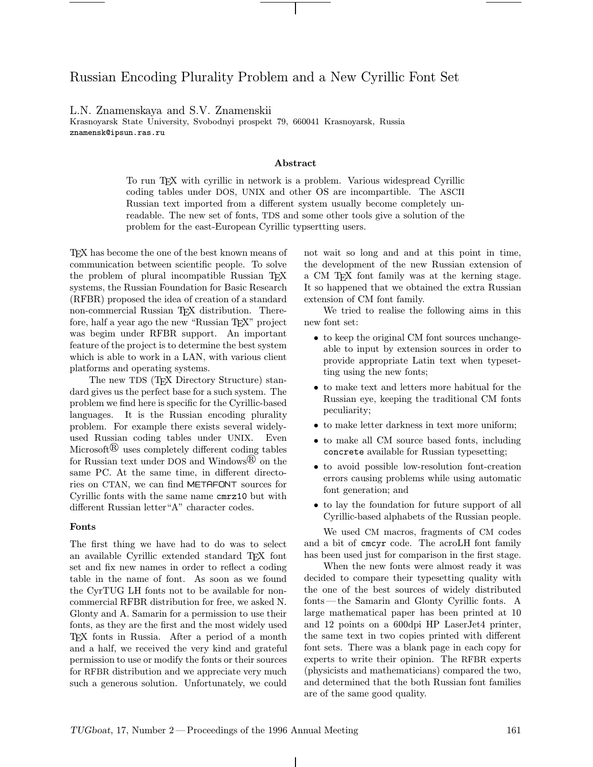# Russian Encoding Plurality Problem and a New Cyrillic Font Set

L.N. Znamenskaya and S.V. Znamenskii

Krasnoyarsk State University, Svobodnyi prospekt 79, 660041 Krasnoyarsk, Russia znamensk@ipsun.ras.ru

#### Abstract

To run TEX with cyrillic in network is a problem. Various widespread Cyrillic coding tables under DOS, UNIX and other OS are incompartible. The ASCII Russian text imported from a different system usually become completely unreadable. The new set of fonts, TDS and some other tools give a solution of the problem for the east-European Cyrillic typsertting users.

TEX has become the one of the best known means of communication between scientific people. To solve the problem of plural incompatible Russian T<sub>EX</sub> systems, the Russian Foundation for Basic Research (RFBR) proposed the idea of creation of a standard non-commercial Russian T<sub>E</sub>X distribution. Therefore, half a year ago the new "Russian T<sub>EX</sub>" project was begim under RFBR support. An important feature of the project is to determine the best system which is able to work in a LAN, with various client platforms and operating systems.

The new TDS (TFX Directory Structure) standard gives us the perfect base for a such system. The problem we find here is specific for the Cyrillic-based languages. It is the Russian encoding plurality problem. For example there exists several widelyused Russian coding tables under UNIX. Even Microsoft<sup> $\mathbb B$ </sup> uses completely different coding tables for Russian text under DOS and Windows $\mathbb{B}$  on the same PC. At the same time, in different directories on CTAN, we can find METAFONT sources for Cyrillic fonts with the same name cmrz10 but with different Russian letter"A" character codes.

## Fonts

The first thing we have had to do was to select an available Cyrillic extended standard TEX font set and fix new names in order to reflect a coding table in the name of font. As soon as we found the CyrTUG LH fonts not to be available for noncommercial RFBR distribution for free, we asked N. Glonty and A. Samarin for a permission to use their fonts, as they are the first and the most widely used TEX fonts in Russia. After a period of a month and a half, we received the very kind and grateful permission to use or modify the fonts or their sources for RFBR distribution and we appreciate very much such a generous solution. Unfortunately, we could

not wait so long and and at this point in time, the development of the new Russian extension of a CM TEX font family was at the kerning stage. It so happened that we obtained the extra Russian extension of CM font family.

We tried to realise the following aims in this new font set:

- to keep the original CM font sources unchangeable to input by extension sources in order to provide appropriate Latin text when typesetting using the new fonts;
- to make text and letters more habitual for the Russian eye, keeping the traditional CM fonts peculiarity;
- to make letter darkness in text more uniform;
- to make all CM source based fonts, including concrete available for Russian typesetting;
- to avoid possible low-resolution font-creation errors causing problems while using automatic font generation; and
- to lay the foundation for future support of all Cyrillic-based alphabets of the Russian people.

We used CM macros, fragments of CM codes and a bit of cmcyr code. The acroLH font family has been used just for comparison in the first stage.

When the new fonts were almost ready it was decided to compare their typesetting quality with the one of the best sources of widely distributed fonts —the Samarin and Glonty Cyrillic fonts. A large mathematical paper has been printed at 10 and 12 points on a 600dpi HP LaserJet4 printer, the same text in two copies printed with different font sets. There was a blank page in each copy for experts to write their opinion. The RFBR experts (physicists and mathematicians) compared the two, and determined that the both Russian font families are of the same good quality.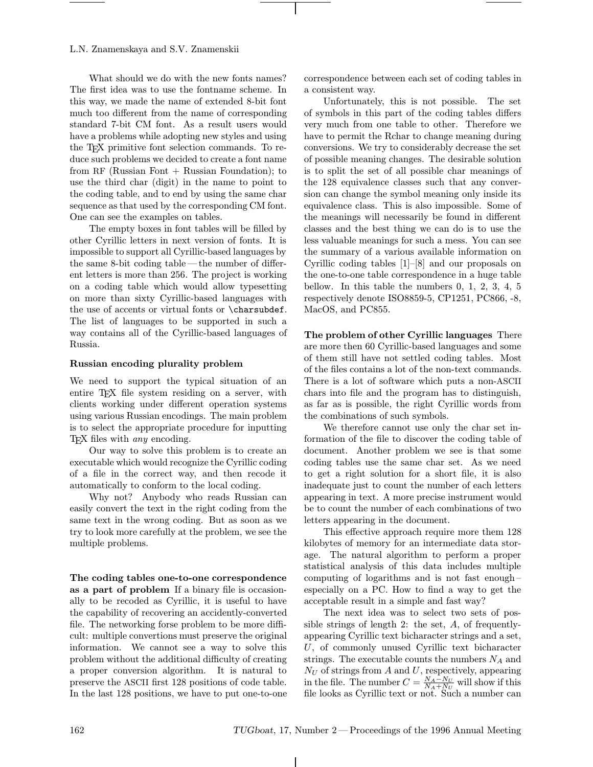## L.N. Znamenskaya and S.V. Znamenskii

What should we do with the new fonts names? The first idea was to use the fontname scheme. In this way, we made the name of extended 8-bit font much too different from the name of corresponding standard 7-bit CM font. As a result users would have a problems while adopting new styles and using the TEX primitive font selection commands. To reduce such problems we decided to create a font name from RF (Russian Font  $+$  Russian Foundation); to use the third char (digit) in the name to point to the coding table, and to end by using the same char sequence as that used by the corresponding CM font. One can see the examples on tables.

The empty boxes in font tables will be filled by other Cyrillic letters in next version of fonts. It is impossible to support all Cyrillic-based languages by the same 8-bit coding table —the number of different letters is more than 256. The project is working on a coding table which would allow typesetting on more than sixty Cyrillic-based languages with the use of accents or virtual fonts or \charsubdef. The list of languages to be supported in such a way contains all of the Cyrillic-based languages of Russia.

#### Russian encoding plurality problem

We need to support the typical situation of an entire T<sub>E</sub>X file system residing on a server, with clients working under different operation systems using various Russian encodings. The main problem is to select the appropriate procedure for inputting TEX files with any encoding.

Our way to solve this problem is to create an executable which would recognize the Cyrillic coding of a file in the correct way, and then recode it automatically to conform to the local coding.

Why not? Anybody who reads Russian can easily convert the text in the right coding from the same text in the wrong coding. But as soon as we try to look more carefully at the problem, we see the multiple problems.

The coding tables one-to-one correspondence as a part of problem If a binary file is occasionally to be recoded as Cyrillic, it is useful to have the capability of recovering an accidently-converted file. The networking forse problem to be more difficult: multiple convertions must preserve the original information. We cannot see a way to solve this problem without the additional difficulty of creating a proper conversion algorithm. It is natural to preserve the ASCII first 128 positions of code table. In the last 128 positions, we have to put one-to-one correspondence between each set of coding tables in a consistent way.

Unfortunately, this is not possible. The set of symbols in this part of the coding tables differs very much from one table to other. Therefore we have to permit the Rchar to change meaning during conversions. We try to considerably decrease the set of possible meaning changes. The desirable solution is to split the set of all possible char meanings of the 128 equivalence classes such that any conversion can change the symbol meaning only inside its equivalence class. This is also impossible. Some of the meanings will necessarily be found in different classes and the best thing we can do is to use the less valuable meanings for such a mess. You can see the summary of a various available information on Cyrillic coding tables [1]–[8] and our proposals on the one-to-one table correspondence in a huge table bellow. In this table the numbers 0, 1, 2, 3, 4, 5 respectively denote ISO8859-5, CP1251, PC866, -8, MacOS, and PC855.

The problem of other Cyrillic languages There are more then 60 Cyrillic-based languages and some of them still have not settled coding tables. Most of the files contains a lot of the non-text commands. There is a lot of software which puts a non-ASCII chars into file and the program has to distinguish, as far as is possible, the right Cyrillic words from the combinations of such symbols.

We therefore cannot use only the char set information of the file to discover the coding table of document. Another problem we see is that some coding tables use the same char set. As we need to get a right solution for a short file, it is also inadequate just to count the number of each letters appearing in text. A more precise instrument would be to count the number of each combinations of two letters appearing in the document.

This effective approach require more them 128 kilobytes of memory for an intermediate data storage. The natural algorithm to perform a proper statistical analysis of this data includes multiple computing of logarithms and is not fast enough– especially on a PC. How to find a way to get the acceptable result in a simple and fast way?

The next idea was to select two sets of possible strings of length 2: the set,  $A$ , of frequentlyappearing Cyrillic text bicharacter strings and a set, U, of commonly unused Cyrillic text bicharacter strings. The executable counts the numbers  $N_A$  and  $N_U$  of strings from A and U, respectively, appearing in the file. The number  $C = \frac{N_A - N_U}{N_A + N_U}$  will show if this file looks as Cyrillic text or not. Such a number can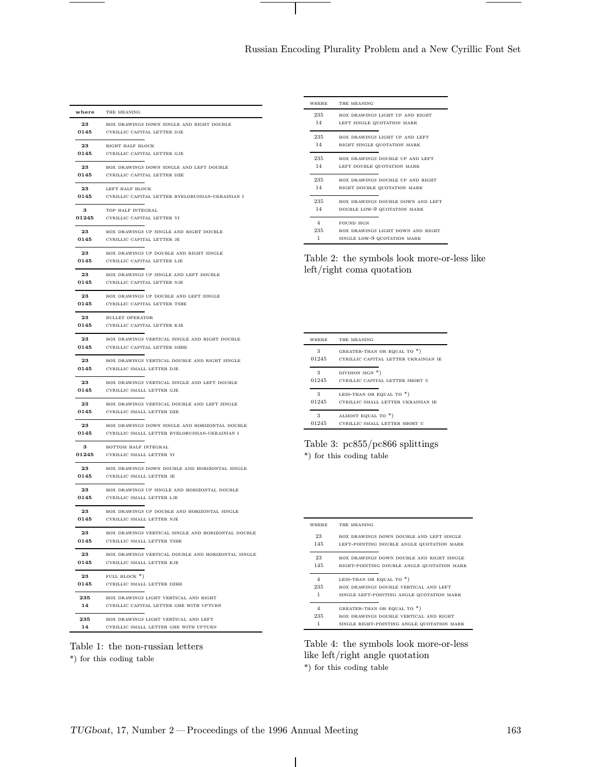# Russian Encoding Plurality Problem and a New Cyrillic Font Set

| where | THE MEANING                                        |
|-------|----------------------------------------------------|
| 23    | BOX DRAWINGS DOWN SINGLE AND RIGHT DOUBLE          |
| 0145  | CYRILLIC CAPITAL LETTER DJE                        |
| 23    | RIGHT HALF BLOCK                                   |
| 0145  | CYRILLIC CAPITAL LETTER GJE                        |
| 23    | BOX DRAWINGS DOWN SINGLE AND LEFT DOUBLE           |
| 0145  | CYRILLIC CAPITAL LETTER DZE                        |
| 23    | LEFT HALF BLOCK                                    |
| 0145  | CYRILLIC CAPITAL LETTER BYELORUSSIAN-UKRAINIAN I   |
| 3     | TOP HALF INTEGRAL                                  |
| 01245 | CYRILLIC CAPITAL LETTER YI                         |
| 23    | BOX DRAWINGS UP SINGLE AND RIGHT DOUBLE            |
| 0145  | CYRILLIC CAPITAL LETTER JE                         |
| 23    | BOX DRAWINGS UP DOUBLE AND RIGHT SINGLE            |
| 0145  | CYRILLIC CAPITAL LETTER LJE                        |
| 23    | BOX DRAWINGS UP SINGLE AND LEFT DOUBLE             |
| 0145  | CYRILLIC CAPITAL LETTER NJE                        |
| 23    | BOX DRAWINGS UP DOUBLE AND LEFT SINGLE             |
| 0145  | CYRILLIC CAPITAL LETTER TSHE                       |
|       | 23 BULLET OPERATOR                                 |
| 0145  | CYRILLIC CAPITAL LETTER KJE                        |
| 23    | BOX DRAWINGS VERTICAL SINGLE AND RIGHT DOUBLE      |
| 0145  | CYRILLIC CAPITAL LETTER DZHE                       |
| 23    | BOX DRAWINGS VERTICAL DOUBLE AND RIGHT SINGLE      |
| 0145  | CYRILLIC SMALL LETTER DJE                          |
| 23    | BOX DRAWINGS VERTICAL SINGLE AND LEFT DOUBLE       |
| 0145  | CYRILLIC SMALL LETTER GJE                          |
| 23    | BOX DRAWINGS VERTICAL DOUBLE AND LEFT SINGLE       |
| 0145  | CYRILLIC SMALL LETTER DZE                          |
| 23    | BOX DRAWINGS DOWN SINGLE AND HORIZONTAL DOUBLE     |
| 0145  | CYRILLIC SMALL LETTER BYELORUSSIAN-UKRAINIAN I     |
| 3     | BOTTOM HALF INTEGRAL                               |
| 01245 | CYRILLIC SMALL LETTER YI                           |
| 23    | BOX DRAWINGS DOWN DOUBLE AND HORIZONTAL SINGLE     |
| 0145  | CYRILLIC SMALL LETTER JE                           |
| 23    | BOX DRAWINGS UP SINGLE AND HORIZONTAL DOUBLE       |
| 0145  | CYRILLIC SMALL LETTER LJE                          |
| 23    | BOX DRAWINGS UP DOUBLE AND HORIZONTAL SINGLE       |
| 0145  | CYRILLIC SMALL LETTER NJE                          |
| 23    | BOX DRAWINGS VERTICAL SINGLE AND HORIZONTAL DOUBLE |
| 0145  | CYRILLIC SMALL LETTER TSHE                         |
| 23    | BOX DRAWINGS VERTICAL DOUBLE AND HORIZONTAL SINGLE |
| 0145  | CYRILLIC SMALL LETTER KJE                          |
| 23    | FULL BLOCK *)                                      |
| 0145  | CYRILLIC SMALL LETTER DZHE                         |
| 235   | BOX DRAWINGS LIGHT VERTICAL AND RIGHT              |
| 14    | CYRILLIC CAPITAL LETTER GHE WITH UPTURN            |
| 235   | BOX DRAWINGS LIGHT VERTICAL AND LEFT               |
| 14    | CYRILLIC SMALL LETTER GHE WITH UPTURN              |



\*) for this coding table

| <b>WHERE</b>   | THE MEANING                              |
|----------------|------------------------------------------|
| 235            | BOX DRAWINGS LIGHT UP AND RIGHT          |
| 14             | LEFT SINGLE QUOTATION MARK               |
| 235            | BOX DRAWINGS LIGHT UP AND LEFT           |
| 14             | RIGHT SINGLE QUOTATION MARK              |
| 235            | <b>BOX DRAWINGS DOUBLE UP AND LEFT</b>   |
| 14             | LEFT DOUBLE QUOTATION MARK               |
| 235            | <b>BOX DRAWINGS DOUBLE UP AND RIGHT</b>  |
| 14             | RIGHT DOUBLE QUOTATION MARK              |
| 235            | <b>BOX DRAWINGS DOUBLE DOWN AND LEFT</b> |
| 14             | DOUBLE LOW-9 QUOTATION MARK              |
| $\overline{4}$ | POUND SIGN                               |
| 235            | BOX DRAWINGS LIGHT DOWN AND RIGHT        |
| 1              | SINGLE LOW-9 QUOTATION MARK              |

Table 2: the symbols look more-or-less like left/right coma quotation

| WHERE | THE MEANING                          |
|-------|--------------------------------------|
| 3     | GREATER-THAN OR EQUAL TO *)          |
| 01245 | CYRILLIC CAPITAL LETTER UKRAINIAN IE |
| 3     | DIVISION SIGN *)                     |
| 01245 | CYRILLIC CAPITAL LETTER SHORT U      |
| 3     | LESS-THAN OR EQUAL TO *)             |
| 01245 | CYRILLIC SMALL LETTER UKRAINIAN IE   |
| 3     | ALMOST EQUAL TO *)                   |
| 01245 | CYRILLIC SMALL LETTER SHORT U        |

Table 3: pc855/pc866 splittings \*) for this coding table

where the meaning 23 box drawings down double and left single 145 left-pointing double angle quotation mark 23 box drawings down double and right single 145 right-pointing double angle quotation mark 4 LESS-THAN OR EQUAL TO  $*)$  $235$   $\hspace{1cm}$  box drawings double vertical and left 1 single left-pointing angle quotation mark 4 GREATER-THAN OR EQUAL TO  $*)$ 235 box drawings double vertical and right 1 single right-pointing angle quotation mark

Table 4: the symbols look more-or-less like left/right angle quotation \*) for this coding table

 $\overline{\phantom{a}}$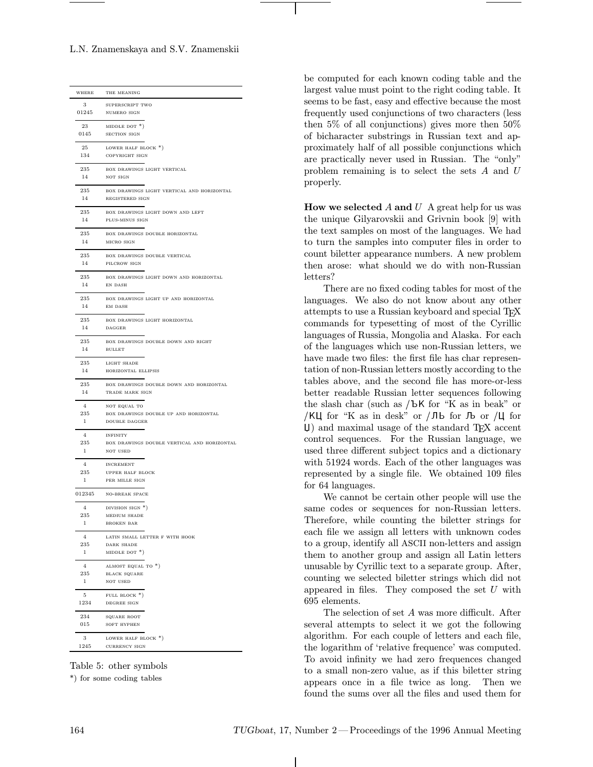L.N. Znamenskaya and S.V. Znamenskii

| WHERE          | THE MEANING                                 |
|----------------|---------------------------------------------|
| 3              | SUPERSCRIPT TWO                             |
|                | 01245 NUMERO SIGN                           |
|                |                                             |
|                | 23 MIDDLE DOT $*)$                          |
|                | 0145 SECTION SIGN                           |
|                |                                             |
| 25<br>134      | LOWER HALF BLOCK *)                         |
|                | COPYRIGHT SIGN                              |
| 235            | BOX DRAWINGS LIGHT VERTICAL                 |
| 14             | NOT SIGN                                    |
|                |                                             |
| 235            | BOX DRAWINGS LIGHT VERTICAL AND HORIZONTAL  |
| 14             | REGISTERED SIGN                             |
|                |                                             |
| 235            | BOX DRAWINGS LIGHT DOWN AND LEFT            |
| 14             | PLUS-MINUS SIGN                             |
| 235            | BOX DRAWINGS DOUBLE HORIZONTAL              |
| 14             | MICRO SIGN                                  |
|                |                                             |
| 235            | BOX DRAWINGS DOUBLE VERTICAL                |
| 14             | PILCROW SIGN                                |
|                |                                             |
| 235            | BOX DRAWINGS LIGHT DOWN AND HORIZONTAL      |
| 14             | EN DASH                                     |
|                | 235 BOX DRAWINGS LIGHT UP AND HORIZONTAL    |
| 14             | <b>EM DASH</b>                              |
|                |                                             |
| 235            | BOX DRAWINGS LIGHT HORIZONTAL               |
| 14             | DAGGER                                      |
|                |                                             |
| 235            | BOX DRAWINGS DOUBLE DOWN AND RIGHT          |
| 14             | <b>BULLET</b>                               |
| 235            | LIGHT SHADE                                 |
| 14             | HORIZONTAL ELLIPSIS                         |
|                |                                             |
| 235            | BOX DRAWINGS DOUBLE DOWN AND HORIZONTAL     |
| 14             | TRADE MARK SIGN                             |
| $\overline{4}$ | NOT EQUAL TO                                |
| 235            | BOX DRAWINGS DOUBLE UP AND HORIZONTAL       |
| $\mathbf{1}$   | DOUBLE DAGGER                               |
|                |                                             |
| $\overline{4}$ | <b>INFINITY</b>                             |
| 235            | BOX DRAWINGS DOUBLE VERTICAL AND HORIZONTAL |
| -1             | NOT USED                                    |
| $\overline{4}$ |                                             |
| 235            | <b>INCREMENT</b><br>UPPER HALF BLOCK        |
| $\mathbf{1}$   | PER MILLE SIGN                              |
|                |                                             |
|                | 012345 NO-BREAK SPACE                       |
|                |                                             |
| 4              | DIVISION SIGN *)                            |
| 235            | MEDIUM SHADE                                |
| 1              | <b>BROKEN BAR</b>                           |
|                | LATIN SMALL LETTER F WITH HOOK              |
| 235            | <b>DARK SHADE</b>                           |
| $\mathbf{1}$   | MIDDLE DOT $*)$                             |
|                |                                             |
| $\overline{4}$ | ALMOST EQUAL TO *)                          |
| 235            | <b>BLACK SQUARE</b>                         |
| $\mathbf{1}$   | NOT USED                                    |
|                |                                             |
| 5              | FULL BLOCK *)<br>DEGREE SIGN                |
| 1234           |                                             |
| 234            | $\texttt{SQUARE~ROOT}$                      |
| 015            | SOFT HYPHEN                                 |
|                |                                             |
| 3 <sup>3</sup> | LOWER HALF BLOCK *)                         |
|                | 1245 CURRENCY SIGN                          |
|                |                                             |

Table 5: other symbols

\*) for some coding tables

be computed for each known coding table and the largest value must point to the right coding table. It seems to be fast, easy and effective because the most frequently used conjunctions of two characters (less then 5% of all conjunctions) gives more then 50% of bicharacter substrings in Russian text and approximately half of all possible conjunctions which are practically never used in Russian. The "only" problem remaining is to select the sets A and U properly.

How we selected  $A$  and  $U$  A great help for us was the unique Gilyarovskii and Grivnin book [9] with the text samples on most of the languages. We had to turn the samples into computer files in order to count biletter appearance numbers. A new problem then arose: what should we do with non-Russian letters?

There are no fixed coding tables for most of the languages. We also do not know about any other attempts to use a Russian keyboard and special T<sub>E</sub>X commands for typesetting of most of the Cyrillic languages of Russia, Mongolia and Alaska. For each of the languages which use non-Russian letters, we have made two files: the first file has char representation of non-Russian letters mostly according to the tables above, and the second file has more-or-less better readable Russian letter sequences following the slash char (such as  $/bK$  for "K as in beak" or /KU for "K as in desk" or /Jb for  $\sqrt{L}$  for  $\sqrt{C}$  for -) and maximal usage of the standard TEX accent control sequences. For the Russian language, we used three different subject topics and a dictionary with 51924 words. Each of the other languages was represented by a single file. We obtained 109 files for 64 languages.

We cannot be certain other people will use the same codes or sequences for non-Russian letters. Therefore, while counting the biletter strings for each file we assign all letters with unknown codes to a group, identify all ASCII non-letters and assign them to another group and assign all Latin letters unusable by Cyrillic text to a separate group. After, counting we selected biletter strings which did not appeared in files. They composed the set  $U$  with 695 elements.

The selection of set A was more difficult. After several attempts to select it we got the following algorithm. For each couple of letters and each file, the logarithm of 'relative frequence' was computed. To avoid infinity we had zero frequences changed to a small non-zero value, as if this biletter string appears once in a file twice as long. Then we found the sums over all the files and used them for